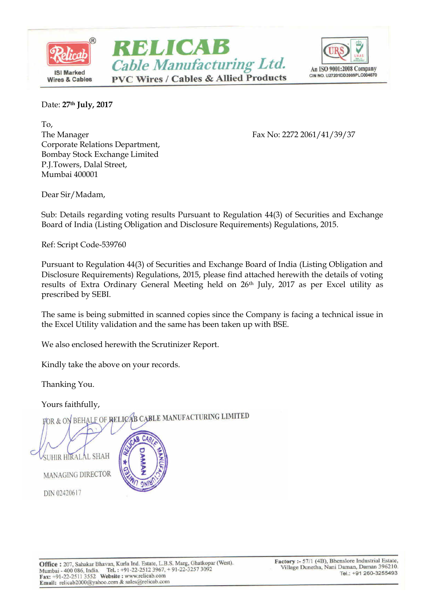



Date: **27th July, 2017**

To, The Manager Fax No: 2272 2061/41/39/37 Corporate Relations Department, Bombay Stock Exchange Limited P.J.Towers, Dalal Street, Mumbai 400001

Dear Sir/Madam,

Sub: Details regarding voting results Pursuant to Regulation 44(3) of Securities and Exchange Board of India (Listing Obligation and Disclosure Requirements) Regulations, 2015.

Ref: Script Code-539760

Pursuant to Regulation 44(3) of Securities and Exchange Board of India (Listing Obligation and Disclosure Requirements) Regulations, 2015, please find attached herewith the details of voting results of Extra Ordinary General Meeting held on 26th July, 2017 as per Excel utility as prescribed by SEBI.

The same is being submitted in scanned copies since the Company is facing a technical issue in the Excel Utility validation and the same has been taken up with BSE.

We also enclosed herewith the Scrutinizer Report.

Kindly take the above on your records.

Thanking You.

Yours faithfully,<br>FOR & ON BEHALF OF RELICAB CABLE MANUFACTURING LIMITED

**UHIR HIRALAL SHAH** 

MANAGING DIRECTOR

DIN 02420617

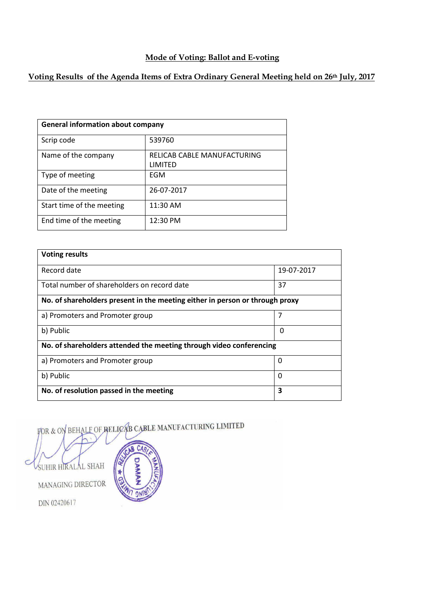#### **Mode of Voting: Ballot and E-voting**

### **Voting Results of the Agenda Items of Extra Ordinary General Meeting held on 26th July, 2017**

| <b>General information about company</b> |                             |  |  |
|------------------------------------------|-----------------------------|--|--|
| Scrip code                               | 539760                      |  |  |
| Name of the company                      | RELICAB CABLE MANUFACTURING |  |  |
|                                          | LIMITED                     |  |  |
| Type of meeting                          | EGM                         |  |  |
| Date of the meeting                      | 26-07-2017                  |  |  |
| Start time of the meeting                | 11:30 AM                    |  |  |
| End time of the meeting                  | 12:30 PM                    |  |  |

| <b>Voting results</b>                                                        |            |  |  |  |  |
|------------------------------------------------------------------------------|------------|--|--|--|--|
| Record date                                                                  | 19-07-2017 |  |  |  |  |
| Total number of shareholders on record date                                  | 37         |  |  |  |  |
| No. of shareholders present in the meeting either in person or through proxy |            |  |  |  |  |
| a) Promoters and Promoter group                                              | 7          |  |  |  |  |
| b) Public                                                                    | 0          |  |  |  |  |
| No. of shareholders attended the meeting through video conferencing          |            |  |  |  |  |
| a) Promoters and Promoter group                                              | 0          |  |  |  |  |
| b) Public                                                                    | 0          |  |  |  |  |
| No. of resolution passed in the meeting                                      | 3          |  |  |  |  |

FOR & ON BEHALF OF RELICAB CABLE MANUFACTURING LIMITED

SUHIR HIRALAL SHAH MANAGING DIRECTOR DIN 02420617

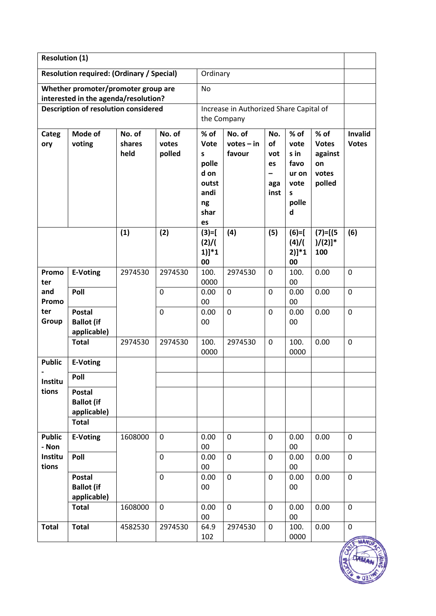| <b>Resolution (1)</b> |                                                  |         |             |                |                                         |                   |              |               |                |
|-----------------------|--------------------------------------------------|---------|-------------|----------------|-----------------------------------------|-------------------|--------------|---------------|----------------|
|                       | <b>Resolution required: (Ordinary / Special)</b> |         |             | Ordinary       |                                         |                   |              |               |                |
|                       | Whether promoter/promoter group are              |         |             | <b>No</b>      |                                         |                   |              |               |                |
|                       | interested in the agenda/resolution?             |         |             |                |                                         |                   |              |               |                |
|                       | <b>Description of resolution considered</b>      |         |             |                | Increase in Authorized Share Capital of |                   |              |               |                |
|                       |                                                  |         |             |                | the Company                             |                   |              |               |                |
| Categ                 | Mode of                                          | No. of  | No. of      | % of           | No. of                                  | No.               | % of         | % of          | <b>Invalid</b> |
| ory                   | voting                                           | shares  | votes       | Vote           | $votes - in$                            | of                | vote         | <b>Votes</b>  | <b>Votes</b>   |
|                       |                                                  | held    | polled      | S<br>polle     | favour                                  | vot<br>es         | s in<br>favo | against<br>on |                |
|                       |                                                  |         |             | d on           |                                         | $\qquad \qquad -$ | ur on        | votes         |                |
|                       |                                                  |         |             | outst          |                                         | aga               | vote         | polled        |                |
|                       |                                                  |         |             | andi           |                                         | inst              | $\sf s$      |               |                |
|                       |                                                  |         |             | ng             |                                         |                   | polle        |               |                |
|                       |                                                  |         |             | shar           |                                         |                   | d            |               |                |
|                       |                                                  | (1)     | (2)         | es<br>$(3)=$ [ | (4)                                     | (5)               | $(6)=$ [     | $(7) = [(5$   | (6)            |
|                       |                                                  |         |             | (2)/(          |                                         |                   | $(4)$ /      | $)/(2)]$ *    |                |
|                       |                                                  |         |             | $1)$ ]*1       |                                         |                   | $2)]*1$      | 100           |                |
|                       |                                                  |         |             | 00             |                                         |                   | 00           |               |                |
| Promo                 | <b>E-Voting</b>                                  | 2974530 | 2974530     | 100.           | 2974530                                 | $\mathbf 0$       | 100.         | 0.00          | $\mathbf 0$    |
| ter<br>and            | Poll                                             |         | $\mathbf 0$ | 0000<br>0.00   | $\mathbf 0$                             | $\mathbf 0$       | 00<br>0.00   | 0.00          | $\mathbf 0$    |
| Promo                 |                                                  |         |             | 00             |                                         |                   | 00           |               |                |
| ter                   | <b>Postal</b>                                    |         | $\mathbf 0$ | 0.00           | $\mathbf 0$                             | 0                 | 0.00         | 0.00          | $\mathbf 0$    |
| Group                 | <b>Ballot</b> (if                                |         |             | 00             |                                         |                   | 00           |               |                |
|                       | applicable)                                      |         |             |                |                                         |                   |              |               |                |
|                       | <b>Total</b>                                     | 2974530 | 2974530     | 100.           | 2974530                                 | $\mathbf 0$       | 100.         | 0.00          | $\mathbf 0$    |
| <b>Public</b>         | <b>E-Voting</b>                                  |         |             | 0000           |                                         |                   | 0000         |               |                |
|                       | Poll                                             |         |             |                |                                         |                   |              |               |                |
| Institu               |                                                  |         |             |                |                                         |                   |              |               |                |
| tions                 | <b>Postal</b>                                    |         |             |                |                                         |                   |              |               |                |
|                       | <b>Ballot</b> (if<br>applicable)                 |         |             |                |                                         |                   |              |               |                |
|                       | <b>Total</b>                                     |         |             |                |                                         |                   |              |               |                |
| <b>Public</b>         | E-Voting                                         | 1608000 | $\mathbf 0$ | 0.00           | $\mathbf 0$                             | $\mathbf 0$       | 0.00         | 0.00          | $\mathbf 0$    |
| - Non                 |                                                  |         |             | 00             |                                         |                   | 00           |               |                |
| Institu               | Poll                                             |         | $\mathbf 0$ | 0.00           | $\mathbf 0$                             | $\mathbf 0$       | 0.00         | 0.00          | $\mathbf 0$    |
| tions                 |                                                  |         |             | 00             |                                         |                   | $00\,$       |               |                |
|                       | Postal                                           |         | $\mathbf 0$ | 0.00           | $\mathbf 0$                             | $\mathbf 0$       | 0.00         | 0.00          | $\mathbf 0$    |
|                       | <b>Ballot</b> (if<br>applicable)                 |         |             | $00\,$         |                                         |                   | $00\,$       |               |                |
|                       | <b>Total</b>                                     | 1608000 | $\mathbf 0$ | 0.00           | $\mathbf 0$                             | 0                 | 0.00         | 0.00          | 0              |
|                       |                                                  |         |             | 00             |                                         |                   | $00\,$       |               |                |
| <b>Total</b>          | <b>Total</b>                                     | 4582530 | 2974530     | 64.9           | 2974530                                 | $\mathbf 0$       | 100.         | 0.00          | $\mathbf 0$    |
|                       |                                                  |         |             | 102            |                                         |                   | 0000         |               |                |

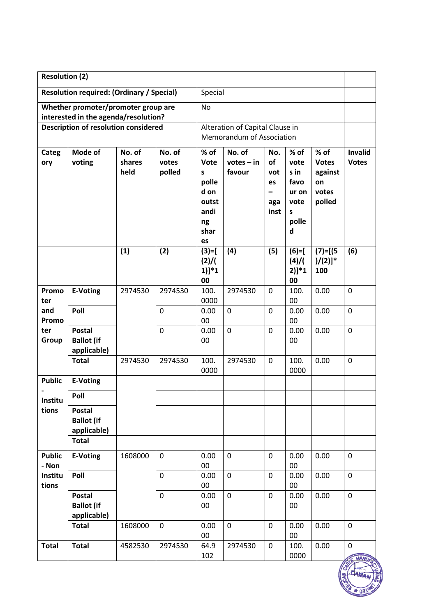| <b>Resolution (2)</b> |                                                  |         |             |                                 |              |                          |                       |                       |                |
|-----------------------|--------------------------------------------------|---------|-------------|---------------------------------|--------------|--------------------------|-----------------------|-----------------------|----------------|
|                       | <b>Resolution required: (Ordinary / Special)</b> |         |             | Special                         |              |                          |                       |                       |                |
|                       | Whether promoter/promoter group are              |         |             | <b>No</b>                       |              |                          |                       |                       |                |
|                       | interested in the agenda/resolution?             |         |             |                                 |              |                          |                       |                       |                |
|                       | <b>Description of resolution considered</b>      |         |             | Alteration of Capital Clause in |              |                          |                       |                       |                |
|                       |                                                  |         |             | Memorandum of Association       |              |                          |                       |                       |                |
| Categ                 | Mode of                                          | No. of  | No. of      | % of                            | No. of       | No.                      | % of                  | % of                  | <b>Invalid</b> |
| ory                   | voting                                           | shares  | votes       | <b>Vote</b>                     | $votes - in$ | of                       | vote                  | <b>Votes</b>          | <b>Votes</b>   |
|                       |                                                  | held    | polled      | S                               | favour       | vot                      | s in                  | against               |                |
|                       |                                                  |         |             | polle                           |              | es                       | favo                  | on                    |                |
|                       |                                                  |         |             | d on                            |              | $\overline{\phantom{0}}$ | ur on                 | votes                 |                |
|                       |                                                  |         |             | outst<br>andi                   |              | aga                      | vote                  | polled                |                |
|                       |                                                  |         |             | ng                              |              | inst                     | $\mathsf{s}$<br>polle |                       |                |
|                       |                                                  |         |             | shar                            |              |                          | d                     |                       |                |
|                       |                                                  |         |             | es                              |              |                          |                       |                       |                |
|                       |                                                  | (1)     | (2)         | $(3)=$                          | (4)          | (5)                      | $(6)=$                | $(7) = [(5$           | (6)            |
|                       |                                                  |         |             | (2)/(                           |              |                          | $(4)$ /               | $)/(2)]$ <sup>*</sup> |                |
|                       |                                                  |         |             | $1)$ ]*1                        |              |                          | $2)]*1$               | 100                   |                |
|                       |                                                  |         |             | 00                              |              |                          | 00                    |                       |                |
| Promo                 | <b>E-Voting</b>                                  | 2974530 | 2974530     | 100.                            | 2974530      | 0                        | 100.                  | 0.00                  | $\mathbf 0$    |
| ter<br>and            | Poll                                             |         | $\mathbf 0$ | 0000<br>0.00                    | $\mathbf 0$  | $\overline{0}$           | 00<br>0.00            | 0.00                  | $\mathbf 0$    |
| Promo                 |                                                  |         |             | 00                              |              |                          | 00                    |                       |                |
| ter                   | <b>Postal</b>                                    |         | $\mathbf 0$ | 0.00                            | $\mathbf 0$  | $\mathbf 0$              | 0.00                  | 0.00                  | $\mathbf 0$    |
| Group                 | <b>Ballot</b> (if                                |         |             | 00                              |              |                          | 00                    |                       |                |
|                       | applicable)                                      |         |             |                                 |              |                          |                       |                       |                |
|                       | <b>Total</b>                                     | 2974530 | 2974530     | 100.                            | 2974530      | $\mathbf 0$              | 100.                  | 0.00                  | $\mathbf 0$    |
|                       |                                                  |         |             | 0000                            |              |                          | 0000                  |                       |                |
| <b>Public</b>         | <b>E-Voting</b>                                  |         |             |                                 |              |                          |                       |                       |                |
| Institu               | Poll                                             |         |             |                                 |              |                          |                       |                       |                |
| tions                 | <b>Postal</b>                                    |         |             |                                 |              |                          |                       |                       |                |
|                       | <b>Ballot</b> (if                                |         |             |                                 |              |                          |                       |                       |                |
|                       | applicable)<br><b>Total</b>                      |         |             |                                 |              |                          |                       |                       |                |
|                       |                                                  |         |             |                                 |              |                          |                       |                       |                |
| <b>Public</b>         | <b>E-Voting</b>                                  | 1608000 | $\mathbf 0$ | 0.00                            | $\mathbf 0$  | $\mathbf 0$              | 0.00                  | 0.00                  | $\mathbf 0$    |
| - Non                 |                                                  |         |             | 00                              |              |                          | 00                    |                       |                |
| Institu               | Poll                                             |         | $\mathbf 0$ | 0.00                            | $\mathbf 0$  | $\mathbf 0$              | 0.00                  | 0.00                  | $\mathbf 0$    |
| tions                 | <b>Postal</b>                                    |         | $\mathbf 0$ | 00<br>0.00                      | $\mathbf 0$  | $\mathbf 0$              | 00<br>0.00            | 0.00                  | $\mathbf 0$    |
|                       | <b>Ballot</b> (if                                |         |             | 00                              |              |                          | 00                    |                       |                |
|                       | applicable)                                      |         |             |                                 |              |                          |                       |                       |                |
|                       | <b>Total</b>                                     | 1608000 | $\mathbf 0$ | 0.00                            | $\mathbf 0$  | $\mathbf 0$              | 0.00                  | 0.00                  | $\mathbf 0$    |
|                       |                                                  |         |             | $00\,$                          |              |                          | 00                    |                       |                |
| <b>Total</b>          | <b>Total</b>                                     | 4582530 | 2974530     | 64.9                            | 2974530      | $\mathbf 0$              | 100.                  | 0.00                  | $\mathbf 0$    |
|                       |                                                  |         |             | 102                             |              |                          | 0000                  |                       | <b>MANI</b>    |

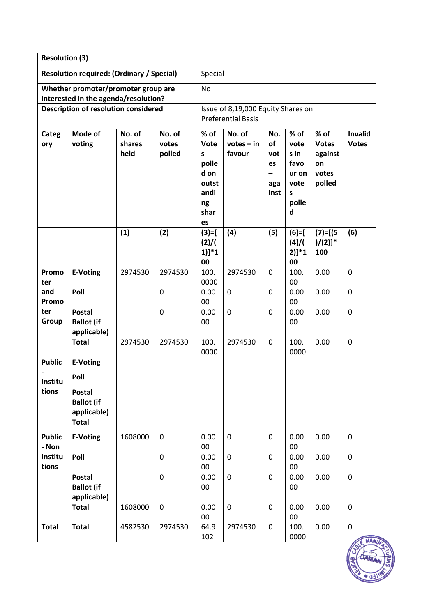| <b>Resolution (3)</b> |                                                  |                  |                 |                                    |                        |                |              |                       |                                |
|-----------------------|--------------------------------------------------|------------------|-----------------|------------------------------------|------------------------|----------------|--------------|-----------------------|--------------------------------|
|                       | <b>Resolution required: (Ordinary / Special)</b> |                  |                 | Special                            |                        |                |              |                       |                                |
|                       | Whether promoter/promoter group are              |                  |                 | <b>No</b>                          |                        |                |              |                       |                                |
|                       | interested in the agenda/resolution?             |                  |                 |                                    |                        |                |              |                       |                                |
|                       | <b>Description of resolution considered</b>      |                  |                 | Issue of 8,19,000 Equity Shares on |                        |                |              |                       |                                |
|                       |                                                  |                  |                 | <b>Preferential Basis</b>          |                        |                |              |                       |                                |
| Categ<br>ory          | Mode of<br>voting                                | No. of<br>shares | No. of<br>votes | % of<br>Vote                       | No. of<br>$votes - in$ | No.<br>of      | % of<br>vote | % of<br><b>Votes</b>  | <b>Invalid</b><br><b>Votes</b> |
|                       |                                                  | held             | polled          | S                                  | favour                 | vot            | s in         | against               |                                |
|                       |                                                  |                  |                 | polle                              |                        | es             | favo         | on                    |                                |
|                       |                                                  |                  |                 | d on                               |                        |                | ur on        | votes                 |                                |
|                       |                                                  |                  |                 | outst                              |                        | aga            | vote         | polled                |                                |
|                       |                                                  |                  |                 | andi                               |                        | inst           | S            |                       |                                |
|                       |                                                  |                  |                 | ng<br>shar                         |                        |                | polle<br>d   |                       |                                |
|                       |                                                  |                  |                 | es                                 |                        |                |              |                       |                                |
|                       |                                                  | (1)              | (2)             | $(3)=$ [                           | (4)                    | (5)            | $(6)=$       | $(7) = [(5$           | (6)                            |
|                       |                                                  |                  |                 | (2)/(                              |                        |                | $(4)$ /      | $)/(2)]$ <sup>*</sup> |                                |
|                       |                                                  |                  |                 | $1)$ ]*1                           |                        |                | $2)]*1$      | 100                   |                                |
|                       |                                                  |                  |                 | 00                                 |                        |                | 00           |                       |                                |
| Promo                 | <b>E-Voting</b>                                  | 2974530          | 2974530         | 100.                               | 2974530                | $\mathbf 0$    | 100.         | 0.00                  | 0                              |
| ter                   |                                                  |                  |                 | 0000                               |                        |                | 00           |                       |                                |
| and<br>Promo          | Poll                                             |                  | $\mathbf 0$     | 0.00<br>00                         | $\mathbf 0$            | $\mathbf 0$    | 0.00<br>00   | 0.00                  | $\mathbf 0$                    |
| ter                   | <b>Postal</b>                                    |                  | $\mathbf 0$     | 0.00                               | $\mathbf 0$            | $\overline{0}$ | 0.00         | 0.00                  | $\mathbf 0$                    |
| Group                 | <b>Ballot</b> (if                                |                  |                 | 00                                 |                        |                | 00           |                       |                                |
|                       | applicable)                                      |                  |                 |                                    |                        |                |              |                       |                                |
|                       | <b>Total</b>                                     | 2974530          | 2974530         | 100.                               | 2974530                | $\mathbf 0$    | 100.         | 0.00                  | $\mathbf 0$                    |
|                       |                                                  |                  |                 | 0000                               |                        |                | 0000         |                       |                                |
| <b>Public</b>         | <b>E-Voting</b>                                  |                  |                 |                                    |                        |                |              |                       |                                |
| Institu               | Poll                                             |                  |                 |                                    |                        |                |              |                       |                                |
| tions                 | <b>Postal</b>                                    |                  |                 |                                    |                        |                |              |                       |                                |
|                       | <b>Ballot (if</b>                                |                  |                 |                                    |                        |                |              |                       |                                |
|                       | applicable)                                      |                  |                 |                                    |                        |                |              |                       |                                |
|                       | <b>Total</b>                                     |                  |                 |                                    |                        |                |              |                       |                                |
| <b>Public</b>         | <b>E-Voting</b>                                  | 1608000          | $\mathbf 0$     | 0.00                               | $\mathbf 0$            | $\mathbf 0$    | 0.00         | 0.00                  | $\mathbf 0$                    |
| - Non                 |                                                  |                  |                 | $00\,$                             |                        |                | 00           |                       |                                |
| Institu               | Poll                                             |                  | $\mathbf 0$     | 0.00                               | 0                      | $\mathbf 0$    | 0.00         | 0.00                  | $\mathbf 0$                    |
| tions                 |                                                  |                  | $\mathbf 0$     | $00\,$<br>0.00                     | $\mathbf 0$            | $\mathbf 0$    | 00<br>0.00   | 0.00                  | $\mathbf 0$                    |
|                       | Postal<br><b>Ballot</b> (if                      |                  |                 | $00\,$                             |                        |                | 00           |                       |                                |
|                       | applicable)                                      |                  |                 |                                    |                        |                |              |                       |                                |
|                       | <b>Total</b>                                     | 1608000          | $\mathbf 0$     | 0.00                               | $\mathbf 0$            | $\mathbf 0$    | 0.00         | 0.00                  | $\mathbf 0$                    |
|                       |                                                  |                  |                 | $00\,$                             |                        |                | 00           |                       |                                |
| <b>Total</b>          | <b>Total</b>                                     | 4582530          | 2974530         | 64.9                               | 2974530                | $\mathbf 0$    | 100.         | 0.00                  | $\pmb{0}$                      |
|                       |                                                  |                  |                 | 102                                |                        |                | 0000         |                       | <b>MAM</b>                     |

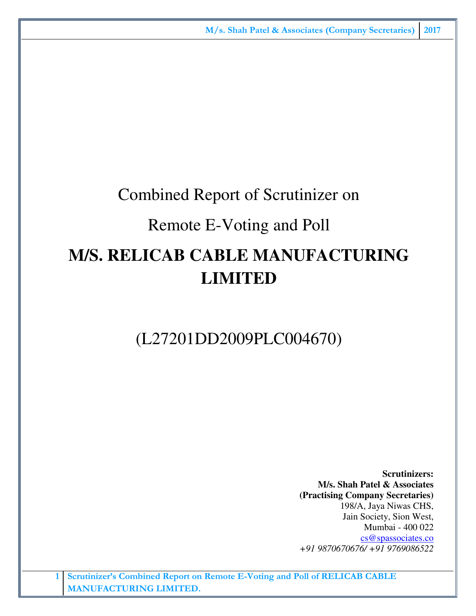## Combined Report of Scrutinizer on

## Remote E-Voting and Poll

# **M/S. RELICAB CABLE MANUFACTURING LIMITED**

## (L27201DD2009PLC004670)

**Scrutinizers: M/s. Shah Patel & Associates (Practising Company Secretaries)**  198/A, Jaya Niwas CHS, Jain Society, Sion West, Mumbai - 400 022 cs@spassociates.co *+91 9870670676/ +91 9769086522*

**1 Scrutinizer's Combined Report on Remote E-Voting and Poll of RELICAB CABLE MANUFACTURING LIMITED.**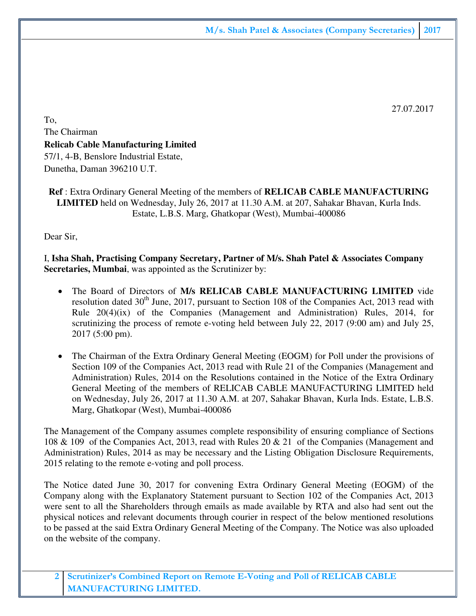27.07.2017

To, The Chairman **Relicab Cable Manufacturing Limited**  57/1, 4-B, Benslore Industrial Estate, Dunetha, Daman 396210 U.T.

**Ref** : Extra Ordinary General Meeting of the members of **RELICAB CABLE MANUFACTURING LIMITED** held on Wednesday, July 26, 2017 at 11.30 A.M. at 207, Sahakar Bhavan, Kurla Inds. Estate, L.B.S. Marg, Ghatkopar (West), Mumbai-400086

Dear Sir,

I, **Isha Shah, Practising Company Secretary, Partner of M/s. Shah Patel & Associates Company Secretaries, Mumbai**, was appointed as the Scrutinizer by:

- The Board of Directors of **M/s RELICAB CABLE MANUFACTURING LIMITED** vide resolution dated  $30<sup>th</sup>$  June, 2017, pursuant to Section 108 of the Companies Act, 2013 read with Rule 20(4)(ix) of the Companies (Management and Administration) Rules, 2014, for scrutinizing the process of remote e-voting held between July 22, 2017 (9:00 am) and July 25, 2017 (5:00 pm).
- The Chairman of the Extra Ordinary General Meeting (EOGM) for Poll under the provisions of Section 109 of the Companies Act, 2013 read with Rule 21 of the Companies (Management and Administration) Rules, 2014 on the Resolutions contained in the Notice of the Extra Ordinary General Meeting of the members of RELICAB CABLE MANUFACTURING LIMITED held on Wednesday, July 26, 2017 at 11.30 A.M. at 207, Sahakar Bhavan, Kurla Inds. Estate, L.B.S. Marg, Ghatkopar (West), Mumbai-400086

The Management of the Company assumes complete responsibility of ensuring compliance of Sections 108 & 109 of the Companies Act, 2013, read with Rules 20 & 21 of the Companies (Management and Administration) Rules, 2014 as may be necessary and the Listing Obligation Disclosure Requirements, 2015 relating to the remote e-voting and poll process.

The Notice dated June 30, 2017 for convening Extra Ordinary General Meeting (EOGM) of the Company along with the Explanatory Statement pursuant to Section 102 of the Companies Act, 2013 were sent to all the Shareholders through emails as made available by RTA and also had sent out the physical notices and relevant documents through courier in respect of the below mentioned resolutions to be passed at the said Extra Ordinary General Meeting of the Company. The Notice was also uploaded on the website of the company.

**2 Scrutinizer's Combined Report on Remote E-Voting and Poll of RELICAB CABLE MANUFACTURING LIMITED.**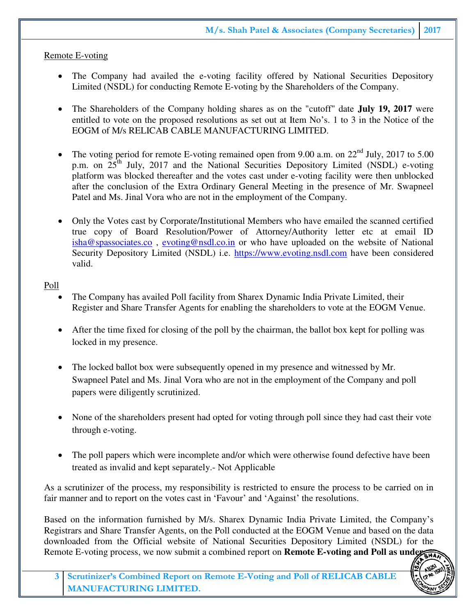#### Remote E-voting

- The Company had availed the e-voting facility offered by National Securities Depository Limited (NSDL) for conducting Remote E-voting by the Shareholders of the Company.
- The Shareholders of the Company holding shares as on the "cutoff" date **July 19, 2017** were entitled to vote on the proposed resolutions as set out at Item No's. 1 to 3 in the Notice of the EOGM of M/s RELICAB CABLE MANUFACTURING LIMITED.
- The voting period for remote E-voting remained open from 9.00 a.m. on  $22<sup>nd</sup>$  July, 2017 to 5.00 p.m. on  $25<sup>th</sup>$  July, 2017 and the National Securities Depository Limited (NSDL) e-voting platform was blocked thereafter and the votes cast under e-voting facility were then unblocked after the conclusion of the Extra Ordinary General Meeting in the presence of Mr. Swapneel Patel and Ms. Jinal Vora who are not in the employment of the Company.
- Only the Votes cast by Corporate/Institutional Members who have emailed the scanned certified true copy of Board Resolution/Power of Attorney/Authority letter etc at email ID isha@spassociates.co , evoting@nsdl.co.in or who have uploaded on the website of National Security Depository Limited (NSDL) i.e. https://www.evoting.nsdl.com have been considered valid.

#### Poll

- The Company has availed Poll facility from Sharex Dynamic India Private Limited, their Register and Share Transfer Agents for enabling the shareholders to vote at the EOGM Venue.
- After the time fixed for closing of the poll by the chairman, the ballot box kept for polling was locked in my presence.
- The locked ballot box were subsequently opened in my presence and witnessed by Mr. Swapneel Patel and Ms. Jinal Vora who are not in the employment of the Company and poll papers were diligently scrutinized.
- None of the shareholders present had opted for voting through poll since they had cast their vote through e-voting.
- The poll papers which were incomplete and/or which were otherwise found defective have been treated as invalid and kept separately.- Not Applicable

As a scrutinizer of the process, my responsibility is restricted to ensure the process to be carried on in fair manner and to report on the votes cast in 'Favour' and 'Against' the resolutions.

Based on the information furnished by M/s. Sharex Dynamic India Private Limited, the Company's Registrars and Share Transfer Agents, on the Poll conducted at the EOGM Venue and based on the data downloaded from the Official website of National Securities Depository Limited (NSDL) for the Remote E-voting process, we now submit a combined report on **Remote E-voting and Poll as understand**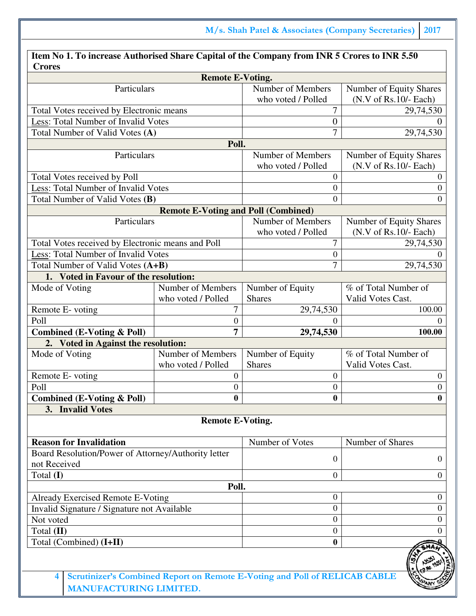| Item No 1. To increase Authorised Share Capital of the Company from INR 5 Crores to INR 5.50<br><b>Crores</b> |                                            |                                                                            |                         |
|---------------------------------------------------------------------------------------------------------------|--------------------------------------------|----------------------------------------------------------------------------|-------------------------|
|                                                                                                               | <b>Remote E-Voting.</b>                    |                                                                            |                         |
| Particulars                                                                                                   |                                            | Number of Members                                                          | Number of Equity Shares |
|                                                                                                               |                                            | who voted / Polled                                                         | $(N.V of Rs.10/- Each)$ |
| Total Votes received by Electronic means                                                                      |                                            | 7                                                                          | 29,74,530               |
| Less: Total Number of Invalid Votes                                                                           |                                            | $\boldsymbol{0}$                                                           |                         |
| Total Number of Valid Votes (A)                                                                               |                                            | 7                                                                          | 29,74,530               |
|                                                                                                               | Poll.                                      |                                                                            |                         |
| Particulars                                                                                                   |                                            | Number of Members                                                          | Number of Equity Shares |
|                                                                                                               |                                            | who voted / Polled                                                         | $(N.V of Rs.10/- Each)$ |
| Total Votes received by Poll                                                                                  |                                            | 0                                                                          | $_{0}$                  |
| Less: Total Number of Invalid Votes                                                                           |                                            | $\overline{0}$                                                             | 0                       |
| Total Number of Valid Votes (B)                                                                               |                                            | $\overline{0}$                                                             | $^{(1)}$                |
|                                                                                                               | <b>Remote E-Voting and Poll (Combined)</b> |                                                                            |                         |
| Particulars                                                                                                   |                                            | Number of Members                                                          | Number of Equity Shares |
|                                                                                                               |                                            | who voted / Polled<br>7                                                    | $(N.V of Rs.10/- Each)$ |
| Total Votes received by Electronic means and Poll<br>Less: Total Number of Invalid Votes                      |                                            | $\boldsymbol{0}$                                                           | 29,74,530               |
| Total Number of Valid Votes (A+B)                                                                             |                                            | $\overline{7}$                                                             | 29,74,530               |
| 1. Voted in Favour of the resolution:                                                                         |                                            |                                                                            |                         |
| Mode of Voting                                                                                                | Number of Members                          | Number of Equity                                                           | % of Total Number of    |
|                                                                                                               | who voted / Polled                         | <b>Shares</b>                                                              | Valid Votes Cast.       |
| Remote E-voting                                                                                               | 7                                          | 29,74,530                                                                  | 100.00                  |
| Poll                                                                                                          | $\boldsymbol{0}$                           | 0                                                                          |                         |
| <b>Combined (E-Voting &amp; Poll)</b>                                                                         | 7                                          | 29,74,530                                                                  | 100.00                  |
| 2. Voted in Against the resolution:                                                                           |                                            |                                                                            |                         |
| Mode of Voting                                                                                                | Number of Members                          | Number of Equity                                                           | % of Total Number of    |
|                                                                                                               | who voted / Polled                         | <b>Shares</b>                                                              | Valid Votes Cast.       |
| Remote E-voting                                                                                               | $\overline{0}$                             | $\overline{0}$                                                             | $\mathbf{0}$            |
| Poll                                                                                                          | 0                                          | 0                                                                          | 0                       |
| <b>Combined (E-Voting &amp; Poll)</b>                                                                         | $\bf{0}$                                   | $\boldsymbol{0}$                                                           | $\boldsymbol{0}$        |
| 3. Invalid Votes                                                                                              |                                            |                                                                            |                         |
|                                                                                                               | <b>Remote E-Voting.</b>                    |                                                                            |                         |
| <b>Reason for Invalidation</b>                                                                                |                                            | Number of Votes                                                            | Number of Shares        |
| Board Resolution/Power of Attorney/Authority letter                                                           |                                            | $\theta$                                                                   | 0                       |
| not Received                                                                                                  |                                            |                                                                            |                         |
| Total (I)                                                                                                     |                                            | $\overline{0}$                                                             | 0                       |
|                                                                                                               | Poll.                                      |                                                                            |                         |
| Already Exercised Remote E-Voting                                                                             |                                            | $\boldsymbol{0}$                                                           | $\boldsymbol{0}$        |
| Invalid Signature / Signature not Available                                                                   |                                            | $\Omega$                                                                   | 0                       |
| Not voted                                                                                                     |                                            | $\overline{0}$                                                             | 0                       |
| Total (II)                                                                                                    |                                            | $\boldsymbol{0}$                                                           |                         |
| Total (Combined) (I+II)                                                                                       |                                            | $\bf{0}$                                                                   |                         |
|                                                                                                               |                                            |                                                                            |                         |
| 4<br>ANITEA CTIDINC I IMITED                                                                                  |                                            | Scrutinizer's Combined Report on Remote E-Voting and Poll of RELICAB CABLE |                         |

**MANUFACTURING LIMITED.**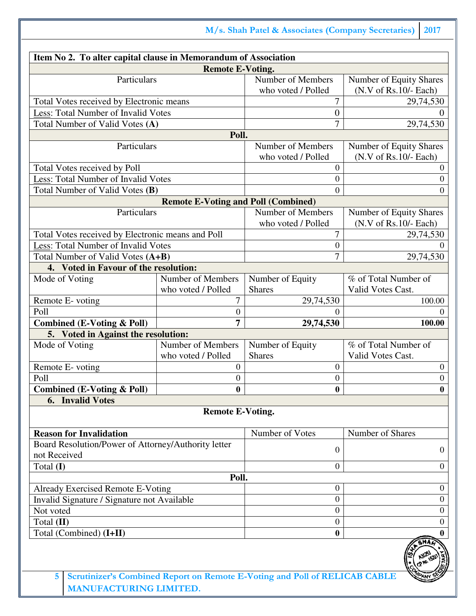**M/s. Shah Patel & Associates (Company Secretaries) 2017**

| Item No 2. To alter capital clause in Memorandum of Association |                                            |                                                                            |                         |
|-----------------------------------------------------------------|--------------------------------------------|----------------------------------------------------------------------------|-------------------------|
|                                                                 | <b>Remote E-Voting.</b>                    |                                                                            |                         |
| Particulars                                                     |                                            | Number of Members                                                          | Number of Equity Shares |
|                                                                 |                                            | who voted / Polled                                                         | $(N.V of Rs.10/- Each)$ |
| Total Votes received by Electronic means                        |                                            | 7                                                                          | 29,74,530               |
| Less: Total Number of Invalid Votes                             |                                            | $\boldsymbol{0}$                                                           |                         |
| Total Number of Valid Votes (A)                                 |                                            | $\overline{7}$                                                             | 29,74,530               |
|                                                                 | Poll.                                      |                                                                            |                         |
| Particulars                                                     |                                            | Number of Members                                                          | Number of Equity Shares |
|                                                                 |                                            | who voted / Polled                                                         | $(N.V of Rs.10/- Each)$ |
| Total Votes received by Poll                                    |                                            | $\boldsymbol{0}$                                                           | $\boldsymbol{0}$        |
| Less: Total Number of Invalid Votes                             |                                            | $\boldsymbol{0}$                                                           | $\boldsymbol{0}$        |
| Total Number of Valid Votes (B)                                 |                                            | $\boldsymbol{0}$                                                           | $\Omega$                |
|                                                                 | <b>Remote E-Voting and Poll (Combined)</b> |                                                                            |                         |
| Particulars                                                     |                                            | Number of Members                                                          | Number of Equity Shares |
|                                                                 |                                            | who voted / Polled                                                         | $(N.V of Rs.10/- Each)$ |
| Total Votes received by Electronic means and Poll               |                                            | 7                                                                          | 29,74,530               |
| Less: Total Number of Invalid Votes                             |                                            | $\boldsymbol{0}$                                                           |                         |
| Total Number of Valid Votes (A+B)                               |                                            | 7                                                                          | 29,74,530               |
| 4. Voted in Favour of the resolution:                           |                                            |                                                                            |                         |
| Mode of Voting                                                  | Number of Members                          | Number of Equity                                                           | % of Total Number of    |
|                                                                 | who voted / Polled                         | <b>Shares</b>                                                              | Valid Votes Cast.       |
| Remote E-voting                                                 | 7                                          | 29,74,530                                                                  | 100.00                  |
| Poll                                                            | $\boldsymbol{0}$                           | $\theta$                                                                   | $\Omega$                |
| <b>Combined (E-Voting &amp; Poll)</b>                           | 7                                          | 29,74,530                                                                  | 100.00                  |
| 5. Voted in Against the resolution:                             |                                            |                                                                            |                         |
| Mode of Voting                                                  | Number of Members                          | Number of Equity                                                           | % of Total Number of    |
|                                                                 | who voted / Polled                         | <b>Shares</b>                                                              | Valid Votes Cast.       |
| Remote E-voting                                                 | $\boldsymbol{0}$                           | $\boldsymbol{0}$                                                           | $\boldsymbol{0}$        |
| Poll                                                            | 0                                          | $\boldsymbol{0}$                                                           | $\boldsymbol{0}$        |
| <b>Combined (E-Voting &amp; Poll)</b>                           | 0                                          | $\boldsymbol{0}$                                                           | 0                       |
| <b>Invalid Votes</b><br>6.                                      |                                            |                                                                            |                         |
|                                                                 | <b>Remote E-Voting.</b>                    |                                                                            |                         |
|                                                                 |                                            |                                                                            |                         |
|                                                                 |                                            |                                                                            |                         |
| <b>Reason for Invalidation</b>                                  |                                            | Number of Votes                                                            | Number of Shares        |
| Board Resolution/Power of Attorney/Authority letter             |                                            | $\boldsymbol{0}$                                                           | $\overline{0}$          |
| not Received                                                    |                                            |                                                                            |                         |
| Total (I)                                                       |                                            | $\overline{0}$                                                             | $\overline{0}$          |
|                                                                 | Poll.                                      | $\boldsymbol{0}$                                                           | $\overline{0}$          |
| Already Exercised Remote E-Voting                               |                                            | $\overline{0}$                                                             | $\boldsymbol{0}$        |
| Invalid Signature / Signature not Available                     |                                            | $\boldsymbol{0}$                                                           | $\overline{0}$          |
| Not voted                                                       |                                            |                                                                            |                         |
| Total (II)                                                      |                                            | $\boldsymbol{0}$<br>$\bf{0}$                                               | $\mathbf{0}$            |
| Total (Combined) (I+II)                                         |                                            |                                                                            | 0                       |
|                                                                 |                                            |                                                                            |                         |
|                                                                 |                                            |                                                                            |                         |
| 5                                                               |                                            | Scrutinizer's Combined Report on Remote E-Voting and Poll of RELICAB CABLE |                         |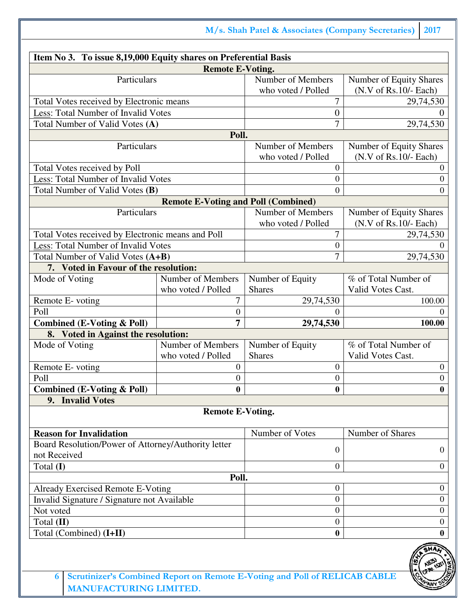**M/s. Shah Patel & Associates (Company Secretaries) 2017**

| Item No 3. To issue 8,19,000 Equity shares on Preferential Basis |                                            |                                                                            |                         |
|------------------------------------------------------------------|--------------------------------------------|----------------------------------------------------------------------------|-------------------------|
|                                                                  | <b>Remote E-Voting.</b>                    |                                                                            |                         |
| Particulars                                                      |                                            | Number of Members                                                          | Number of Equity Shares |
|                                                                  |                                            | who voted / Polled                                                         | $(N.V of Rs.10/- Each)$ |
| Total Votes received by Electronic means                         |                                            | 7                                                                          | 29,74,530               |
| Less: Total Number of Invalid Votes                              |                                            | $\boldsymbol{0}$                                                           |                         |
| Total Number of Valid Votes (A)                                  |                                            | 7                                                                          | 29,74,530               |
|                                                                  | Poll.                                      |                                                                            |                         |
| Particulars                                                      |                                            | Number of Members                                                          | Number of Equity Shares |
|                                                                  |                                            | who voted / Polled                                                         | $(N.V of Rs.10/- Each)$ |
| Total Votes received by Poll                                     |                                            | $\boldsymbol{0}$                                                           | $\mathbf{0}$            |
| Less: Total Number of Invalid Votes                              |                                            | $\boldsymbol{0}$                                                           | $\overline{0}$          |
| Total Number of Valid Votes (B)                                  |                                            | $\overline{0}$                                                             | $\theta$                |
|                                                                  | <b>Remote E-Voting and Poll (Combined)</b> |                                                                            |                         |
| Particulars                                                      |                                            | Number of Members                                                          | Number of Equity Shares |
|                                                                  |                                            | who voted / Polled                                                         | $(N.V of Rs.10/- Each)$ |
| Total Votes received by Electronic means and Poll                |                                            | 7                                                                          | 29,74,530               |
| Less: Total Number of Invalid Votes                              |                                            | $\boldsymbol{0}$                                                           |                         |
| Total Number of Valid Votes (A+B)                                |                                            | $\overline{7}$                                                             | 29,74,530               |
| 7. Voted in Favour of the resolution:                            |                                            |                                                                            |                         |
| Mode of Voting                                                   | Number of Members                          | Number of Equity                                                           | % of Total Number of    |
|                                                                  | who voted / Polled                         | <b>Shares</b>                                                              | Valid Votes Cast.       |
| Remote E-voting                                                  | 7                                          | 29,74,530                                                                  | 100.00                  |
| Poll                                                             | $\boldsymbol{0}$                           | $\Omega$                                                                   | $\Omega$                |
| <b>Combined (E-Voting &amp; Poll)</b>                            | 7                                          | 29,74,530                                                                  | 100.00                  |
| 8. Voted in Against the resolution:                              |                                            |                                                                            |                         |
| Mode of Voting                                                   | Number of Members                          | Number of Equity                                                           | % of Total Number of    |
|                                                                  | who voted / Polled                         | <b>Shares</b>                                                              | Valid Votes Cast.       |
| Remote E-voting                                                  | $\theta$                                   | $\boldsymbol{0}$                                                           | $\boldsymbol{0}$        |
| Poll                                                             | 0                                          | $\boldsymbol{0}$                                                           | $\boldsymbol{0}$        |
| Combined (E-Voting & Poll)                                       | 0                                          | $\bf{0}$                                                                   | 0                       |
| 9. Invalid Votes                                                 |                                            |                                                                            |                         |
|                                                                  |                                            |                                                                            |                         |
|                                                                  | <b>Remote E-Voting.</b>                    |                                                                            |                         |
|                                                                  |                                            |                                                                            |                         |
| <b>Reason for Invalidation</b>                                   |                                            | Number of Votes                                                            | Number of Shares        |
| Board Resolution/Power of Attorney/Authority letter              |                                            | $\boldsymbol{0}$                                                           | $\overline{0}$          |
| not Received                                                     |                                            |                                                                            |                         |
| Total (I)                                                        |                                            | $\overline{0}$                                                             | $\overline{0}$          |
|                                                                  | Poll.                                      |                                                                            |                         |
| Already Exercised Remote E-Voting                                |                                            | $\boldsymbol{0}$                                                           | $\boldsymbol{0}$        |
| Invalid Signature / Signature not Available                      |                                            | $\boldsymbol{0}$                                                           | $\boldsymbol{0}$        |
| Not voted                                                        |                                            | $\boldsymbol{0}$                                                           | $\boldsymbol{0}$        |
| Total (II)                                                       |                                            | $\boldsymbol{0}$                                                           | $\overline{0}$          |
| Total (Combined) (I+II)                                          |                                            | $\bf{0}$                                                                   | $\bf{0}$                |
|                                                                  |                                            |                                                                            |                         |
|                                                                  |                                            |                                                                            |                         |
| 6                                                                |                                            | Scrutinizer's Combined Report on Remote E-Voting and Poll of RELICAB CABLE |                         |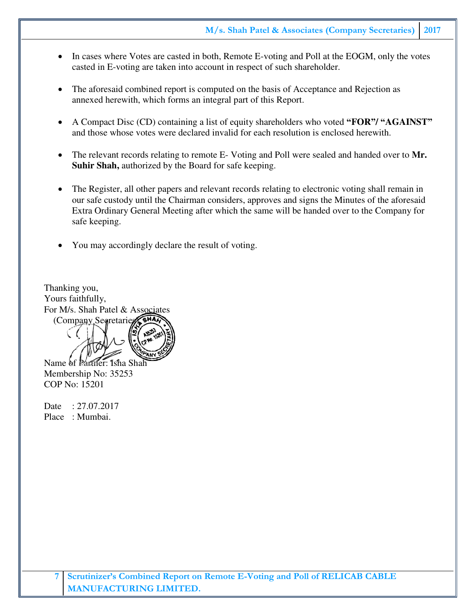- In cases where Votes are casted in both, Remote E-voting and Poll at the EOGM, only the votes casted in E-voting are taken into account in respect of such shareholder.
- The aforesaid combined report is computed on the basis of Acceptance and Rejection as annexed herewith, which forms an integral part of this Report.
- A Compact Disc (CD) containing a list of equity shareholders who voted **"FOR"/ "AGAINST"** and those whose votes were declared invalid for each resolution is enclosed herewith.
- The relevant records relating to remote E- Voting and Poll were sealed and handed over to **Mr. Suhir Shah,** authorized by the Board for safe keeping.
- The Register, all other papers and relevant records relating to electronic voting shall remain in our safe custody until the Chairman considers, approves and signs the Minutes of the aforesaid Extra Ordinary General Meeting after which the same will be handed over to the Company for safe keeping.
- You may accordingly declare the result of voting.

Thanking you, Yours faithfully, For M/s. Shah Patel & Associates (Company Segretaries) Name of Partner: Isha Shah

Membership No: 35253 COP No: 15201

Date : 27.07.2017 Place : Mumbai.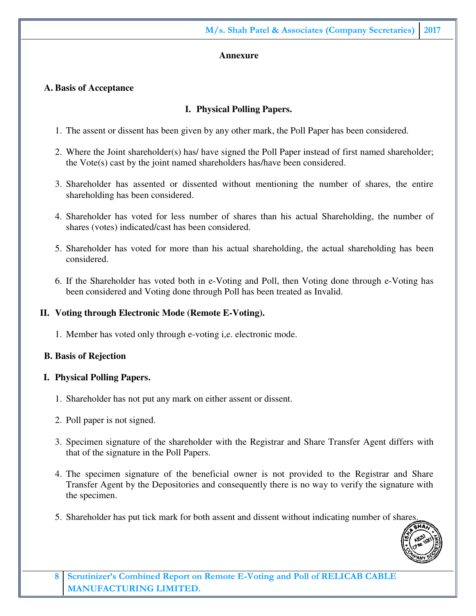#### **Annexure**

#### **A. Basis of Acceptance**

#### **I. Physical Polling Papers.**

- 1. The assent or dissent has been given by any other mark, the Poll Paper has been considered.
- 2. Where the Joint shareholder(s) has/ have signed the Poll Paper instead of first named shareholder; the Vote(s) cast by the joint named shareholders has/have been considered.
- 3. Shareholder has assented or dissented without mentioning the number of shares, the entire shareholding has been considered.
- 4. Shareholder has voted for less number of shares than his actual Shareholding, the number of shares (votes) indicated/cast has been considered.
- 5. Shareholder has voted for more than his actual shareholding, the actual shareholding has been considered.
- 6. If the Shareholder has voted both in e-Voting and Poll, then Voting done through e-Voting has been considered and Voting done through Poll has been treated as Invalid.

#### **II. Voting through Electronic Mode (Remote E-Voting).**

1. Member has voted only through e-voting i,e. electronic mode.

#### **B. Basis of Rejection**

#### **I. Physical Polling Papers.**

- 1. Shareholder has not put any mark on either assent or dissent.
- 2. Poll paper is not signed.
- 3. Specimen signature of the shareholder with the Registrar and Share Transfer Agent differs with that of the signature in the Poll Papers.
- 4. The specimen signature of the beneficial owner is not provided to the Registrar and Share Transfer Agent by the Depositories and consequently there is no way to verify the signature with the specimen.
- 5. Shareholder has put tick mark for both assent and dissent without indicating number of shares.